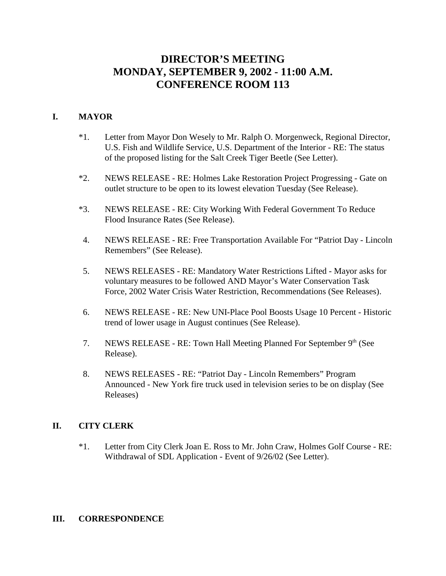# **DIRECTOR'S MEETING MONDAY, SEPTEMBER 9, 2002 - 11:00 A.M. CONFERENCE ROOM 113**

# **I. MAYOR**

- \*1. Letter from Mayor Don Wesely to Mr. Ralph O. Morgenweck, Regional Director, U.S. Fish and Wildlife Service, U.S. Department of the Interior - RE: The status of the proposed listing for the Salt Creek Tiger Beetle (See Letter).
- \*2. NEWS RELEASE RE: Holmes Lake Restoration Project Progressing Gate on outlet structure to be open to its lowest elevation Tuesday (See Release).
- \*3. NEWS RELEASE RE: City Working With Federal Government To Reduce Flood Insurance Rates (See Release).
- 4. NEWS RELEASE RE: Free Transportation Available For "Patriot Day Lincoln Remembers" (See Release).
- 5. NEWS RELEASES RE: Mandatory Water Restrictions Lifted Mayor asks for voluntary measures to be followed AND Mayor's Water Conservation Task Force, 2002 Water Crisis Water Restriction, Recommendations (See Releases).
- 6. NEWS RELEASE RE: New UNI-Place Pool Boosts Usage 10 Percent Historic trend of lower usage in August continues (See Release).
- 7. NEWS RELEASE RE: Town Hall Meeting Planned For September 9th (See Release).
- 8. NEWS RELEASES RE: "Patriot Day Lincoln Remembers" Program Announced - New York fire truck used in television series to be on display (See Releases)

#### **II. CITY CLERK**

\*1. Letter from City Clerk Joan E. Ross to Mr. John Craw, Holmes Golf Course - RE: Withdrawal of SDL Application - Event of 9/26/02 (See Letter).

#### **III. CORRESPONDENCE**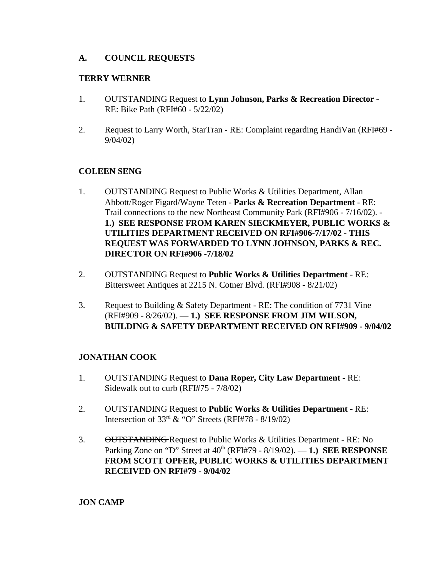### **A. COUNCIL REQUESTS**

#### **TERRY WERNER**

- 1. OUTSTANDING Request to **Lynn Johnson, Parks & Recreation Director** RE: Bike Path (RFI#60 - 5/22/02)
- 2. Request to Larry Worth, StarTran RE: Complaint regarding HandiVan (RFI#69 9/04/02)

#### **COLEEN SENG**

- 1. OUTSTANDING Request to Public Works & Utilities Department, Allan Abbott/Roger Figard/Wayne Teten - **Parks & Recreation Department** - RE: Trail connections to the new Northeast Community Park (RFI#906 - 7/16/02). - **1.) SEE RESPONSE FROM KAREN SIECKMEYER, PUBLIC WORKS & UTILITIES DEPARTMENT RECEIVED ON RFI#906-7/17/02 - THIS REQUEST WAS FORWARDED TO LYNN JOHNSON, PARKS & REC. DIRECTOR ON RFI#906 -7/18/02**
- 2. OUTSTANDING Request to **Public Works & Utilities Department** RE: Bittersweet Antiques at 2215 N. Cotner Blvd. (RFI#908 - 8/21/02)
- 3. Request to Building & Safety Department RE: The condition of 7731 Vine (RFI#909 - 8/26/02). — **1.) SEE RESPONSE FROM JIM WILSON, BUILDING & SAFETY DEPARTMENT RECEIVED ON RFI#909 - 9/04/02**

# **JONATHAN COOK**

- 1. OUTSTANDING Request to **Dana Roper, City Law Department** RE: Sidewalk out to curb (RFI#75 - 7/8/02)
- 2. OUTSTANDING Request to **Public Works & Utilities Department** RE: Intersection of  $33<sup>rd</sup>$  & "O" Streets (RFI#78 - 8/19/02)
- 3. OUTSTANDING Request to Public Works & Utilities Department RE: No Parking Zone on "D" Street at 40th (RFI#79 - 8/19/02). — **1.) SEE RESPONSE FROM SCOTT OPFER, PUBLIC WORKS & UTILITIES DEPARTMENT RECEIVED ON RFI#79 - 9/04/02**

#### **JON CAMP**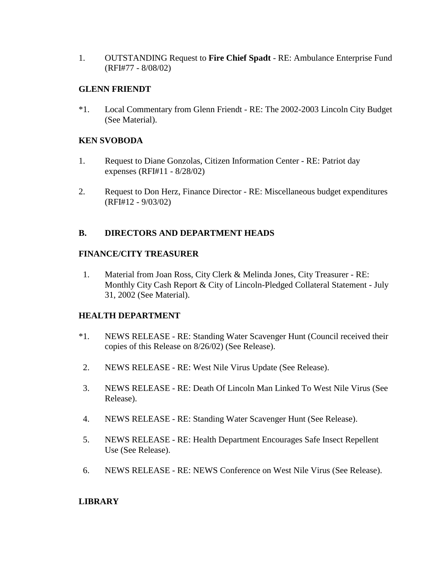1. OUTSTANDING Request to **Fire Chief Spadt** - RE: Ambulance Enterprise Fund (RFI#77 - 8/08/02)

#### **GLENN FRIENDT**

\*1. Local Commentary from Glenn Friendt - RE: The 2002-2003 Lincoln City Budget (See Material).

### **KEN SVOBODA**

- 1. Request to Diane Gonzolas, Citizen Information Center RE: Patriot day expenses (RFI#11 - 8/28/02)
- 2. Request to Don Herz, Finance Director RE: Miscellaneous budget expenditures (RFI#12 - 9/03/02)

#### **B. DIRECTORS AND DEPARTMENT HEADS**

#### **FINANCE/CITY TREASURER**

1. Material from Joan Ross, City Clerk & Melinda Jones, City Treasurer - RE: Monthly City Cash Report & City of Lincoln-Pledged Collateral Statement - July 31, 2002 (See Material).

#### **HEALTH DEPARTMENT**

- \*1. NEWS RELEASE RE: Standing Water Scavenger Hunt (Council received their copies of this Release on 8/26/02) (See Release).
- 2. NEWS RELEASE RE: West Nile Virus Update (See Release).
- 3. NEWS RELEASE RE: Death Of Lincoln Man Linked To West Nile Virus (See Release).
- 4. NEWS RELEASE RE: Standing Water Scavenger Hunt (See Release).
- 5. NEWS RELEASE RE: Health Department Encourages Safe Insect Repellent Use (See Release).
- 6. NEWS RELEASE RE: NEWS Conference on West Nile Virus (See Release).

# **LIBRARY**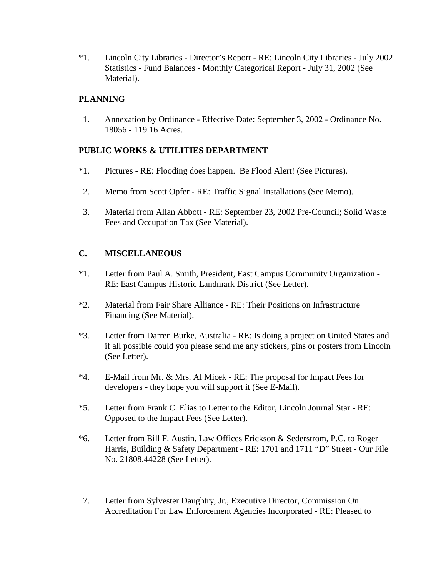\*1. Lincoln City Libraries - Director's Report - RE: Lincoln City Libraries - July 2002 Statistics - Fund Balances - Monthly Categorical Report - July 31, 2002 (See Material).

# **PLANNING**

 1. Annexation by Ordinance - Effective Date: September 3, 2002 - Ordinance No. 18056 - 119.16 Acres.

# **PUBLIC WORKS & UTILITIES DEPARTMENT**

- \*1. Pictures RE: Flooding does happen. Be Flood Alert! (See Pictures).
- 2. Memo from Scott Opfer RE: Traffic Signal Installations (See Memo).
- 3. Material from Allan Abbott RE: September 23, 2002 Pre-Council; Solid Waste Fees and Occupation Tax (See Material).

# **C. MISCELLANEOUS**

- \*1. Letter from Paul A. Smith, President, East Campus Community Organization RE: East Campus Historic Landmark District (See Letter).
- \*2. Material from Fair Share Alliance RE: Their Positions on Infrastructure Financing (See Material).
- \*3. Letter from Darren Burke, Australia RE: Is doing a project on United States and if all possible could you please send me any stickers, pins or posters from Lincoln (See Letter).
- \*4. E-Mail from Mr. & Mrs. Al Micek RE: The proposal for Impact Fees for developers - they hope you will support it (See E-Mail).
- \*5. Letter from Frank C. Elias to Letter to the Editor, Lincoln Journal Star RE: Opposed to the Impact Fees (See Letter).
- \*6. Letter from Bill F. Austin, Law Offices Erickson & Sederstrom, P.C. to Roger Harris, Building & Safety Department - RE: 1701 and 1711 "D" Street - Our File No. 21808.44228 (See Letter).
- 7. Letter from Sylvester Daughtry, Jr., Executive Director, Commission On Accreditation For Law Enforcement Agencies Incorporated - RE: Pleased to